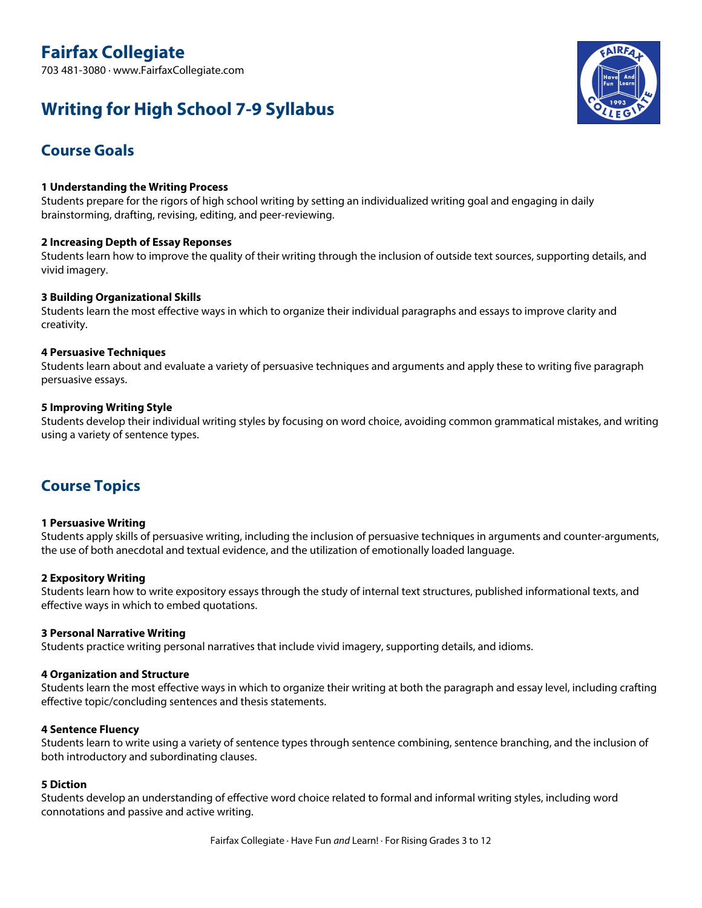# **Fairfax Collegiate**

703 481-3080 · www.FairfaxCollegiate.com

# **Writing for High School 7-9 Syllabus**



## **Course Goals**

## **1 Understanding the Writing Process**

Students prepare for the rigors of high school writing by setting an individualized writing goal and engaging in daily brainstorming, drafting, revising, editing, and peer-reviewing.

## **2 Increasing Depth of Essay Reponses**

Students learn how to improve the quality of their writing through the inclusion of outside text sources, supporting details, and vivid imagery.

## **3 Building Organizational Skills**

Students learn the most effective ways in which to organize their individual paragraphs and essays to improve clarity and creativity.

## **4 Persuasive Techniques**

Students learn about and evaluate a variety of persuasive techniques and arguments and apply these to writing five paragraph persuasive essays.

## **5 Improving Writing Style**

Students develop their individual writing styles by focusing on word choice, avoiding common grammatical mistakes, and writing using a variety of sentence types.

## **Course Topics**

## **1 Persuasive Writing**

Students apply skills of persuasive writing, including the inclusion of persuasive techniques in arguments and counter-arguments, the use of both anecdotal and textual evidence, and the utilization of emotionally loaded language.

## **2 Expository Writing**

Students learn how to write expository essays through the study of internal text structures, published informational texts, and effective ways in which to embed quotations.

## **3 Personal Narrative Writing**

Students practice writing personal narratives that include vivid imagery, supporting details, and idioms.

## **4 Organization and Structure**

Students learn the most effective ways in which to organize their writing at both the paragraph and essay level, including crafting effective topic/concluding sentences and thesis statements.

## **4 Sentence Fluency**

Students learn to write using a variety of sentence types through sentence combining, sentence branching, and the inclusion of both introductory and subordinating clauses.

## **5 Diction**

Students develop an understanding of effective word choice related to formal and informal writing styles, including word connotations and passive and active writing.

Fairfax Collegiate · Have Fun *and* Learn! · For Rising Grades 3 to 12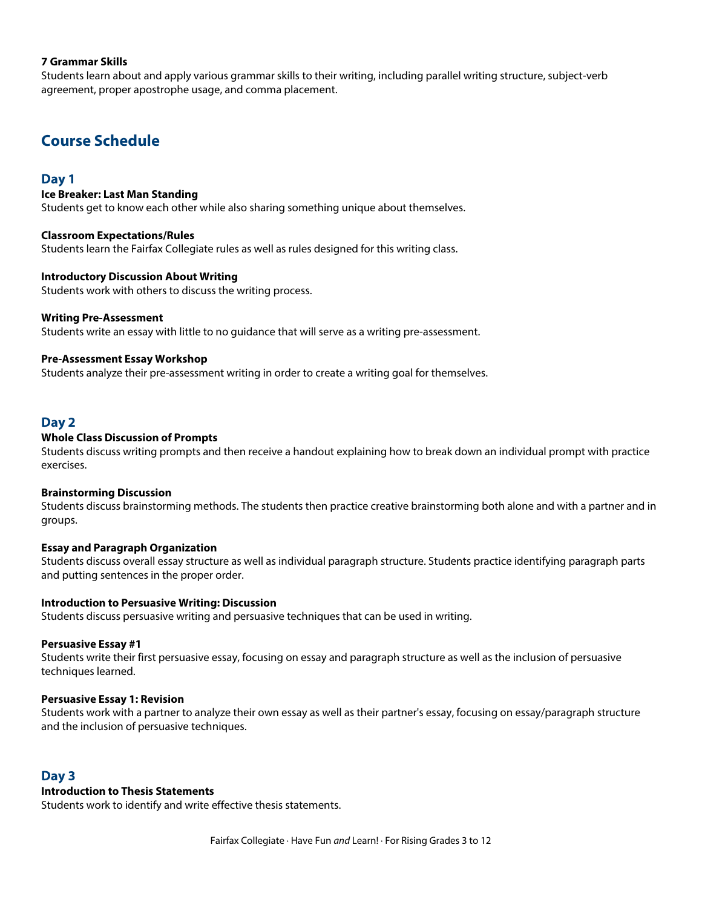## **7 Grammar Skills**

Students learn about and apply various grammar skills to their writing, including parallel writing structure, subject-verb agreement, proper apostrophe usage, and comma placement.

## **Course Schedule**

#### **Day 1**

#### **Ice Breaker: Last Man Standing**

Students get to know each other while also sharing something unique about themselves.

#### **Classroom Expectations/Rules**

Students learn the Fairfax Collegiate rules as well as rules designed for this writing class.

#### **Introductory Discussion About Writing**

Students work with others to discuss the writing process.

#### **Writing Pre-Assessment**

Students write an essay with little to no guidance that will serve as a writing pre-assessment.

#### **Pre-Assessment Essay Workshop**

Students analyze their pre-assessment writing in order to create a writing goal for themselves.

## **Day 2**

#### **Whole Class Discussion of Prompts**

Students discuss writing prompts and then receive a handout explaining how to break down an individual prompt with practice exercises.

#### **Brainstorming Discussion**

Students discuss brainstorming methods. The students then practice creative brainstorming both alone and with a partner and in groups.

## **Essay and Paragraph Organization**

Students discuss overall essay structure as well as individual paragraph structure. Students practice identifying paragraph parts and putting sentences in the proper order.

#### **Introduction to Persuasive Writing: Discussion**

Students discuss persuasive writing and persuasive techniques that can be used in writing.

#### **Persuasive Essay #1**

Students write their first persuasive essay, focusing on essay and paragraph structure as well as the inclusion of persuasive techniques learned.

#### **Persuasive Essay 1: Revision**

Students work with a partner to analyze their own essay as well as their partner's essay, focusing on essay/paragraph structure and the inclusion of persuasive techniques.

## **Day 3**

#### **Introduction to Thesis Statements**

Students work to identify and write effective thesis statements.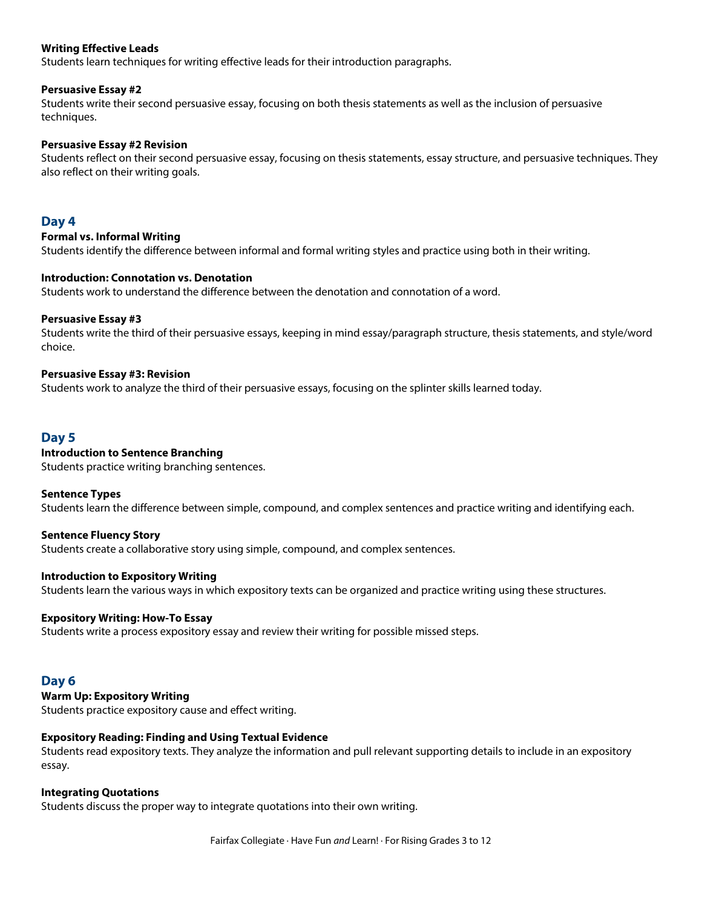## **Writing Effective Leads**

Students learn techniques for writing effective leads for their introduction paragraphs.

#### **Persuasive Essay #2**

Students write their second persuasive essay, focusing on both thesis statements as well as the inclusion of persuasive techniques.

#### **Persuasive Essay #2 Revision**

Students reflect on their second persuasive essay, focusing on thesis statements, essay structure, and persuasive techniques. They also reflect on their writing goals.

## **Day 4**

#### **Formal vs. Informal Writing**

Students identify the difference between informal and formal writing styles and practice using both in their writing.

#### **Introduction: Connotation vs. Denotation**

Students work to understand the difference between the denotation and connotation of a word.

#### **Persuasive Essay #3**

Students write the third of their persuasive essays, keeping in mind essay/paragraph structure, thesis statements, and style/word choice.

#### **Persuasive Essay #3: Revision**

Students work to analyze the third of their persuasive essays, focusing on the splinter skills learned today.

## **Day 5**

#### **Introduction to Sentence Branching**

Students practice writing branching sentences.

#### **Sentence Types**

Students learn the difference between simple, compound, and complex sentences and practice writing and identifying each.

#### **Sentence Fluency Story**

Students create a collaborative story using simple, compound, and complex sentences.

#### **Introduction to Expository Writing**

Students learn the various ways in which expository texts can be organized and practice writing using these structures.

#### **Expository Writing: How-To Essay**

Students write a process expository essay and review their writing for possible missed steps.

## **Day 6**

**Warm Up: Expository Writing**

Students practice expository cause and effect writing.

## **Expository Reading: Finding and Using Textual Evidence**

Students read expository texts. They analyze the information and pull relevant supporting details to include in an expository essay.

## **Integrating Quotations**

Students discuss the proper way to integrate quotations into their own writing.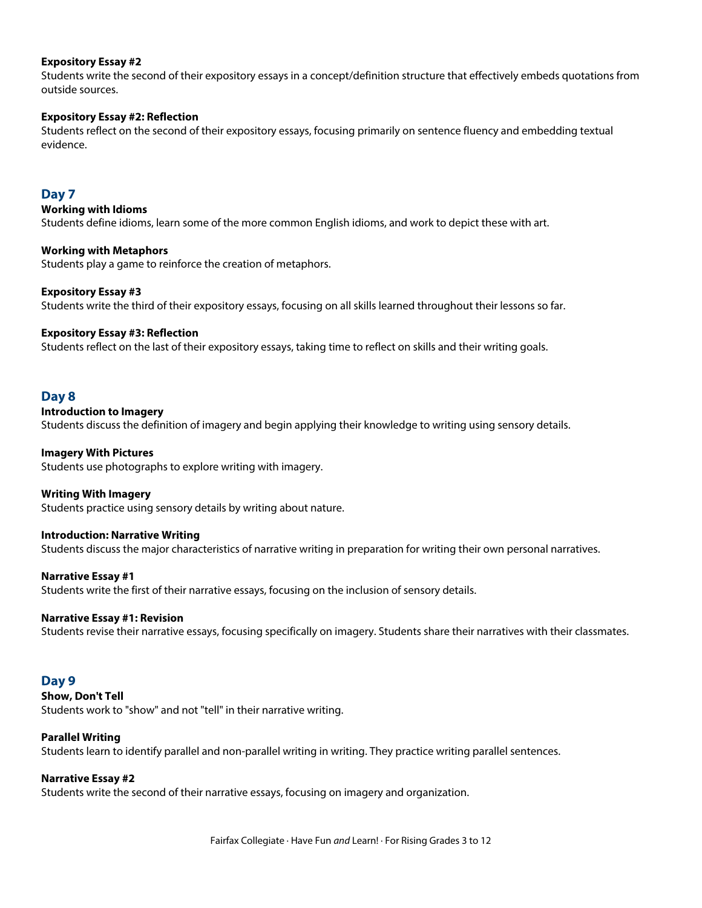## **Expository Essay #2**

Students write the second of their expository essays in a concept/definition structure that effectively embeds quotations from outside sources.

## **Expository Essay #2: Reflection**

Students reflect on the second of their expository essays, focusing primarily on sentence fluency and embedding textual evidence.

## **Day 7**

## **Working with Idioms**

Students define idioms, learn some of the more common English idioms, and work to depict these with art.

#### **Working with Metaphors**

Students play a game to reinforce the creation of metaphors.

## **Expository Essay #3**

Students write the third of their expository essays, focusing on all skills learned throughout their lessons so far.

## **Expository Essay #3: Reflection**

Students reflect on the last of their expository essays, taking time to reflect on skills and their writing goals.

## **Day 8**

#### **Introduction to Imagery**

Students discuss the definition of imagery and begin applying their knowledge to writing using sensory details.

## **Imagery With Pictures**

Students use photographs to explore writing with imagery.

#### **Writing With Imagery**

Students practice using sensory details by writing about nature.

## **Introduction: Narrative Writing**

Students discuss the major characteristics of narrative writing in preparation for writing their own personal narratives.

#### **Narrative Essay #1**

Students write the first of their narrative essays, focusing on the inclusion of sensory details.

## **Narrative Essay #1: Revision**

Students revise their narrative essays, focusing specifically on imagery. Students share their narratives with their classmates.

## **Day 9**

**Show, Don't Tell**

Students work to "show" and not "tell" in their narrative writing.

## **Parallel Writing**

Students learn to identify parallel and non-parallel writing in writing. They practice writing parallel sentences.

## **Narrative Essay #2**

Students write the second of their narrative essays, focusing on imagery and organization.